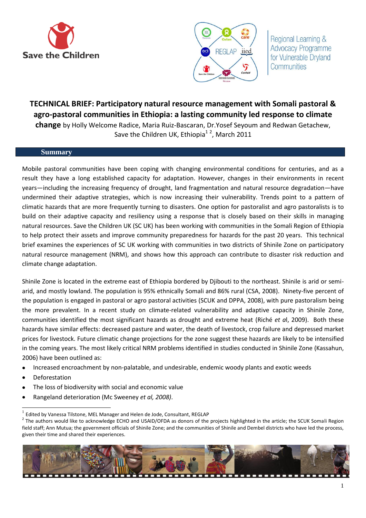



Regional Learning & **Advocacy Programme** for Vulnerable Dryland Communities

# **TECHNICAL BRIEF: Participatory natural resource management with Somali pastoral & agro-pastoral communities in Ethiopia: a lasting community led response to climate**

**change** by Holly Welcome Radice, Maria Ruiz-Bascaran, Dr.Yosef Seyoum and Redwan Getachew, Save the Children UK, Ethiopia<sup>12</sup>, March 2011

# **Summary**

Mobile pastoral communities have been coping with changing environmental conditions for centuries, and as a result they have a long established capacity for adaptation. However, changes in their environments in recent years—including the increasing frequency of drought, land fragmentation and natural resource degradation—have undermined their adaptive strategies, which is now increasing their vulnerability. Trends point to a pattern of climatic hazards that are more frequently turning to disasters. One option for pastoralist and agro pastoralists is to build on their adaptive capacity and resiliency using a response that is closely based on their skills in managing natural resources. Save the Children UK (SC UK) has been working with communities in the Somali Region of Ethiopia to help protect their assets and improve community preparedness for hazards for the past 20 years. This technical brief examines the experiences of SC UK working with communities in two districts of Shinile Zone on participatory natural resource management (NRM), and shows how this approach can contribute to disaster risk reduction and climate change adaptation.

Shinile Zone is located in the extreme east of Ethiopia bordered by Djibouti to the northeast. Shinile is arid or semiarid, and mostly lowland. The population is 95% ethnically Somali and 86% rural (CSA, 2008). Ninety-five percent of the population is engaged in pastoral or agro pastoral activities (SCUK and DPPA, 2008), with pure pastoralism being the more prevalent. In a recent study on climate-related vulnerability and adaptive capacity in Shinile Zone, communities identified the most significant hazards as drought and extreme heat (Riché *et a*l, 2009). Both these hazards have similar effects: decreased pasture and water, the death of livestock, crop failure and depressed market prices for livestock. Future climatic change projections for the zone suggest these hazards are likely to be intensified in the coming years. The most likely critical NRM problems identified in studies conducted in Shinile Zone (Kassahun, 2006) have been outlined as:

- Increased encroachment by non-palatable, and undesirable, endemic woody plants and exotic weeds
- Deforestation

1

- The loss of biodiversity with social and economic value
- Rangeland deterioration (Mc Sweeney *et al, 2008)*.

 $^2$  The authors would like to acknowledge ECHO and USAID/OFDA as donors of the projects highlighted in the article; the SCUK Somali Region field staff; Ann Mutua; the government officials of Shinile Zone; and the communities of Shinile and Dembel districts who have led the process, given their time and shared their experiences.



 $<sup>1</sup>$  Edited by Vanessa Tilstone, MEL Manager and Helen de Jode, Consultant, REGLAP</sup>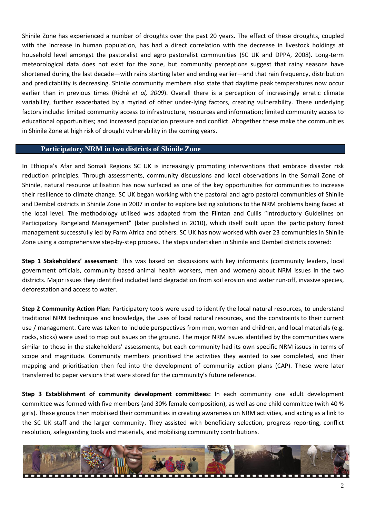Shinile Zone has experienced a number of droughts over the past 20 years. The effect of these droughts, coupled with the increase in human population, has had a direct correlation with the decrease in livestock holdings at household level amongst the pastoralist and agro pastoralist communities (SC UK and DPPA, 2008). Long-term meteorological data does not exist for the zone, but community perceptions suggest that rainy seasons have shortened during the last decade—with rains starting later and ending earlier—and that rain frequency, distribution and predictability is decreasing. Shinile community members also state that daytime peak temperatures now occur earlier than in previous times (Riché *et al, 2009*). Overall there is a perception of increasingly erratic climate variability, further exacerbated by a myriad of other under-lying factors, creating vulnerability. These underlying factors include: limited community access to infrastructure, resources and information; limited community access to educational opportunities; and increased population pressure and conflict. Altogether these make the communities in Shinile Zone at high risk of drought vulnerability in the coming years.

# **Participatory NRM in two districts of Shinile Zone**

In Ethiopia's Afar and Somali Regions SC UK is increasingly promoting interventions that embrace disaster risk reduction principles. Through assessments, community discussions and local observations in the Somali Zone of Shinile, natural resource utilisation has now surfaced as one of the key opportunities for communities to increase their resilience to climate change. SC UK began working with the pastoral and agro pastoral communities of Shinile and Dembel districts in Shinile Zone in 2007 in order to explore lasting solutions to the NRM problems being faced at the local level. The methodology utilised was adapted from the Flintan and Cullis "Introductory Guidelines on Participatory Rangeland Management" (later published in 2010), which itself built upon the participatory forest management successfully led by Farm Africa and others. SC UK has now worked with over 23 communities in Shinile Zone using a comprehensive step-by-step process. The steps undertaken in Shinile and Dembel districts covered:

**Step 1 Stakeholders' assessment**: This was based on discussions with key informants (community leaders, local government officials, community based animal health workers, men and women) about NRM issues in the two districts. Major issues they identified included land degradation from soil erosion and water run-off, invasive species, deforestation and access to water.

**Step 2 Community Action Plan**: Participatory tools were used to identify the local natural resources, to understand traditional NRM techniques and knowledge, the uses of local natural resources, and the constraints to their current use / management. Care was taken to include perspectives from men, women and children, and local materials (e.g. rocks, sticks) were used to map out issues on the ground. The major NRM issues identified by the communities were similar to those in the stakeholders' assessments, but each community had its own specific NRM issues in terms of scope and magnitude. Community members prioritised the activities they wanted to see completed, and their mapping and prioritisation then fed into the development of community action plans (CAP). These were later transferred to paper versions that were stored for the community's future reference.

**Step 3 Establishment of community development committees:** In each community one adult development committee was formed with five members (and 30% female composition), as well as one child committee (with 40 % girls). These groups then mobilised their communities in creating awareness on NRM activities, and acting as a link to the SC UK staff and the larger community. They assisted with beneficiary selection, progress reporting, conflict resolution, safeguarding tools and materials, and mobilising community contributions.

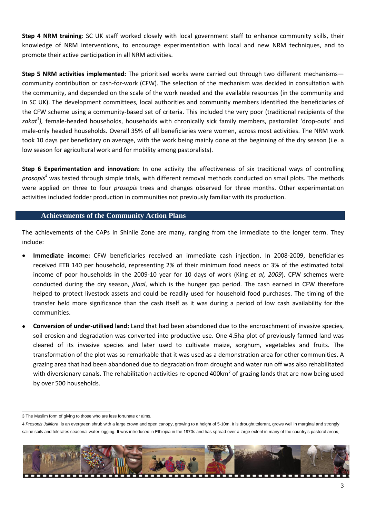**Step 4 NRM training**: SC UK staff worked closely with local government staff to enhance community skills, their knowledge of NRM interventions, to encourage experimentation with local and new NRM techniques, and to promote their active participation in all NRM activities.

**Step 5 NRM activities implemented:** The prioritised works were carried out through two different mechanisms community contribution or cash-for-work (CFW). The selection of the mechanism was decided in consultation with the community, and depended on the scale of the work needed and the available resources (in the community and in SC UK). The development committees, local authorities and community members identified the beneficiaries of the CFW scheme using a community-based set of criteria. This included the very poor (traditional recipients of the *zakat<sup>3</sup> ),* female-headed households, households with chronically sick family members, pastoralist 'drop-outs' and male-only headed households. Overall 35% of all beneficiaries were women, across most activities. The NRM work took 10 days per beneficiary on average, with the work being mainly done at the beginning of the dry season (i.e. a low season for agricultural work and for mobility among pastoralists).

**Step 6 Experimentation and innovation:** In one activity the effectiveness of six traditional ways of controlling *prosopis<sup>4</sup>* was tested through simple trials, with different removal methods conducted on small plots. The methods were applied on three to four *prosopis* trees and changes observed for three months. Other experimentation activities included fodder production in communities not previously familiar with its production.

# **Achievements of the Community Action Plans**

The achievements of the CAPs in Shinile Zone are many, ranging from the immediate to the longer term. They include:

- **Immediate income:** CFW beneficiaries received an immediate cash injection. In 2008-2009, beneficiaries received ETB 140 per household, representing 2% of their minimum food needs or 3% of the estimated total income of poor households in the 2009-10 year for 10 days of work (King *et al, 2009*). CFW schemes were conducted during the dry season, *jilaal*, which is the hunger gap period. The cash earned in CFW therefore helped to protect livestock assets and could be readily used for household food purchases. The timing of the transfer held more significance than the cash itself as it was during a period of low cash availability for the communities.
- **Conversion of under-utilised land:** Land that had been abandoned due to the encroachment of invasive species, soil erosion and degradation was converted into productive use. One 4.5ha plot of previously farmed land was cleared of its invasive species and later used to cultivate maize, sorghum, vegetables and fruits. The transformation of the plot was so remarkable that it was used as a demonstration area for other communities. A grazing area that had been abandoned due to degradation from drought and water run off was also rehabilitated with diversionary canals. The rehabilitation activities re-opened 400km<sup>2</sup> of grazing lands that are now being used by over 500 households.

<sup>4</sup> *Prosopis Juliflora* is an evergreen shrub with a large crown and open canopy, growing to a height of 5-10m. It is drought tolerant, grows well in marginal and strongly saline soils and tolerates seasonal water logging. It was introduced in Ethiopia in the 1970s and has spread over a large extent in many of the country's pastoral areas.



<sup>-</sup>3 The Muslim form of giving to those who are less fortunate or alms.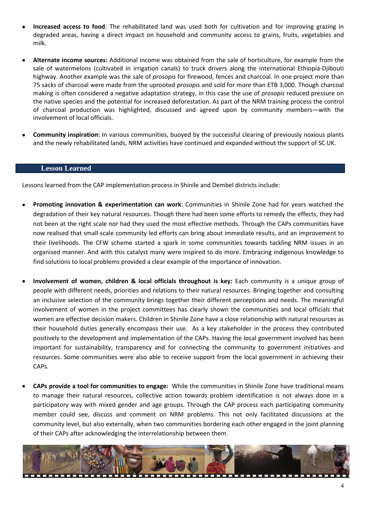- **Increased access to food**: The rehabilitated land was used both for cultivation and for improving grazing in degraded areas, having a direct impact on household and community access to grains, fruits, vegetables and milk.
- **Alternate income sources:** Additional income was obtained from the sale of horticulture, for example from the sale of watermelons (cultivated in irrigation canals) to truck drivers along the international Ethiopia-Djibouti highway. Another example was the sale of *prosopis* for firewood, fences and charcoal. In one project more than 75 sacks of charcoal were made from the uprooted *prosopis* and sold for more than ETB 3,000. Though charcoal making is often considered a negative adaptation strategy, in this case the use of *prosopis* reduced pressure on the native species and the potential for increased deforestation. As part of the NRM training process the control of charcoal production was highlighted, discussed and agreed upon by community members—with the involvement of local officials.
- **Community inspiration:** In various communities, buoyed by the successful clearing of previously noxious plants and the newly rehabilitated lands, NRM activities have continued and expanded without the support of SC UK.

#### **Lesson Learned**

Lessons learned from the CAP implementation process in Shinile and Dembel districts include:

- **Promoting innovation & experimentation can work**: Communities in Shinile Zone had for years watched the degradation of their key natural resources. Though there had been some efforts to remedy the effects, they had not been at the right scale nor had they used the most effective methods. Through the CAPs communities have now realised that small-scale community led efforts can bring about immediate results, and an improvement to their livelihoods. The CFW scheme started a spark in some communities towards tackling NRM issues in an organised manner. And with this catalyst many were inspired to do more. Embracing indigenous knowledge to find solutions to local problems provided a clear example of the importance of innovation.
- **Involvement of women, children & local officials throughout is key:** Each community is a unique group of people with different needs, priorities and relations to their natural resources. Bringing together and consulting an inclusive selection of the community brings together their different perceptions and needs. The meaningful involvement of women in the project committees has clearly shown the communities and local officials that women are effective decision makers. Children in Shinile Zone have a close relationship with natural resources as their household duties generally encompass their use. As a key stakeholder in the process they contributed positively to the development and implementation of the CAPs. Having the local government involved has been important for sustainability, transparency and for connecting the community to government initiatives and resources. Some communities were also able to receive support from the local government in achieving their CAPs.
- **CAPs provide a tool for communities to engage:** While the communities in Shinile Zone have traditional means to manage their natural resources, collective action towards problem identification is not always done in a participatory way with mixed gender and age groups. Through the CAP process each participating community member could see, discuss and comment on NRM problems. This not only facilitated discussions at the community level, but also externally, when two communities bordering each other engaged in the joint planning of their CAPs after acknowledging the interrelationship between them.

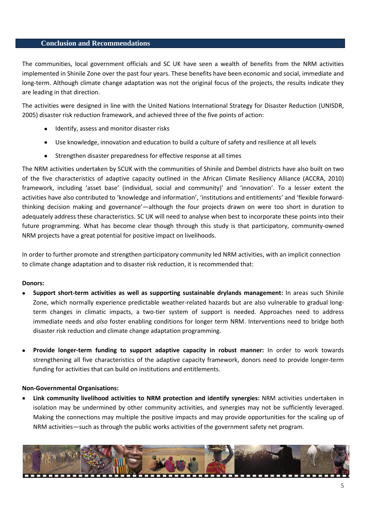#### **Conclusion and Recommendations**

The communities, local government officials and SC UK have seen a wealth of benefits from the NRM activities implemented in Shinile Zone over the past four years. These benefits have been economic and social, immediate and long-term. Although climate change adaptation was not the original focus of the projects, the results indicate they are leading in that direction.

The activities were designed in line with the United Nations International Strategy for Disaster Reduction (UNISDR, 2005) disaster risk reduction framework, and achieved three of the five points of action:

- Identify, assess and monitor disaster risks
- Use knowledge, innovation and education to build a culture of safety and resilience at all levels
- Strengthen disaster preparedness for effective response at all times

The NRM activities undertaken by SCUK with the communities of Shinile and Dembel districts have also built on two of the five characteristics of adaptive capacity outlined in the African Climate Resiliency Alliance (ACCRA, 2010) framework, including 'asset base' (individual, social and community)' and 'innovation'. To a lesser extent the activities have also contributed to 'knowledge and information', 'institutions and entitlements' and 'flexible forwardthinking decision making and governance'—although the four projects drawn on were too short in duration to adequately address these characteristics. SC UK will need to analyse when best to incorporate these points into their future programming. What has become clear though through this study is that participatory, community-owned NRM projects have a great potential for positive impact on livelihoods.

In order to further promote and strengthen participatory community led NRM activities, with an implicit connection to climate change adaptation and to disaster risk reduction, it is recommended that:

#### **Donors:**

- **Support short-term activities as well as supporting sustainable drylands management:** In areas such Shinile Zone, which normally experience predictable weather-related hazards but are also vulnerable to gradual longterm changes in climatic impacts, a two-tier system of support is needed. Approaches need to address immediate needs and *also* foster enabling conditions for longer term NRM. Interventions need to bridge both disaster risk reduction and climate change adaptation programming.
- **Provide longer-term funding to support adaptive capacity in robust manner:** In order to work towards strengthening all five characteristics of the adaptive capacity framework, donors need to provide longer-term funding for activities that can build on institutions and entitlements.

# **Non-Governmental Organisations:**

**Link community livelihood activities to NRM protection and identify synergies:** NRM activities undertaken in isolation may be undermined by other community activities, and synergies may not be sufficiently leveraged. Making the connections may multiple the positive impacts and may provide opportunities for the scaling up of NRM activities—such as through the public works activities of the government safety net program.

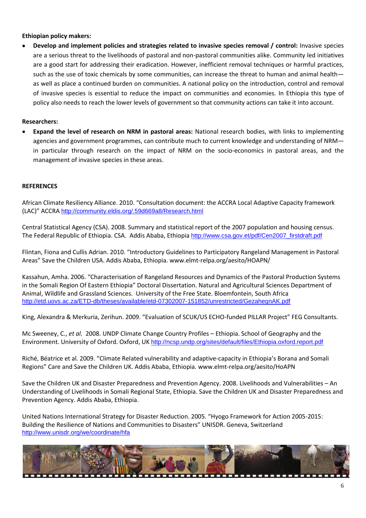# **Ethiopian policy makers:**

**Develop and implement policies and strategies related to invasive species removal / control:** Invasive species are a serious threat to the livelihoods of pastoral and non-pastoral communities alike. Community led initiatives are a good start for addressing their eradication. However, inefficient removal techniques or harmful practices, such as the use of toxic chemicals by some communities, can increase the threat to human and animal health as well as place a continued burden on communities. A national policy on the introduction, control and removal of invasive species is essential to reduce the impact on communities and economies. In Ethiopia this type of policy also needs to reach the lower levels of government so that community actions can take it into account.

# **Researchers:**

**Expand the level of research on NRM in pastoral areas:** National research bodies, with links to implementing agencies and government programmes, can contribute much to current knowledge and understanding of NRM in particular through research on the impact of NRM on the socio-economics in pastoral areas, and the management of invasive species in these areas.

# **REFERENCES**

African Climate Resiliency Alliance. 2010. "Consultation document: the ACCRA Local Adaptive Capacity framework (LAC)" ACCRA <http://community.eldis.org/.59d669a8/Research.html>

Central Statistical Agency (CSA). 2008. Summary and statistical report of the 2007 population and housing census. The Federal Republic of Ethiopia. CSA. Addis Ababa, Ethiopia [http://www.csa.gov.et/pdf/Cen2007\\_firstdraft.pdf](http://www.csa.gov.et/pdf/Cen2007_firstdraft.pdf)

Flintan, Fiona and Cullis Adrian. 2010. "Introductory Guidelines to Participatory Rangeland Management in Pastoral Areas" Save the Children USA. Addis Ababa, Ethiopia. www.elmt-relpa.org/aesito/HOAPN/

Kassahun, Amha. 2006. "Characterisation of Rangeland Resources and Dynamics of the Pastoral Production Systems in the Somali Region Of Eastern Ethiopia" Doctoral Dissertation. Natural and Agricultural Sciences Department of Animal, Wildlife and Grassland Sciences. University of the Free State. Bloemfontein, South Africa <http://etd.uovs.ac.za/ETD-db/theses/available/etd-07302007-151852/unrestricted/GezahegnAK.pdf>

King, Alexandra & Merkuria, Zerihun. 2009. "Evaluation of SCUK/US ECHO-funded PILLAR Project" FEG Consultants.

Mc Sweeney, C., *et al.* 2008. UNDP Climate Change Country Profiles – Ethiopia. School of Geography and the Environment. University of Oxford. Oxford, UK <http://ncsp.undp.org/sites/default/files/Ethiopia.oxford.report.pdf>

Riché, Béatrice et al. 2009. "Climate Related vulnerability and adaptive-capacity in Ethiopia's Borana and Somali Regions" Care and Save the Children UK. Addis Ababa, Ethiopia. www.elmt-relpa.org/aesito/HoAPN

Save the Children UK and Disaster Preparedness and Prevention Agency. 2008. Livelihoods and Vulnerabilities – An Understanding of Livelihoods in Somali Regional State, Ethiopia. Save the Children UK and Disaster Preparedness and Prevention Agency. Addis Ababa, Ethiopia.

United Nations International Strategy for Disaster Reduction. 2005. "Hyogo Framework for Action 2005-2015: Building the Resilience of Nations and Communities to Disasters" UNISDR. Geneva, Switzerland <http://www.unisdr.org/we/coordinate/hfa>